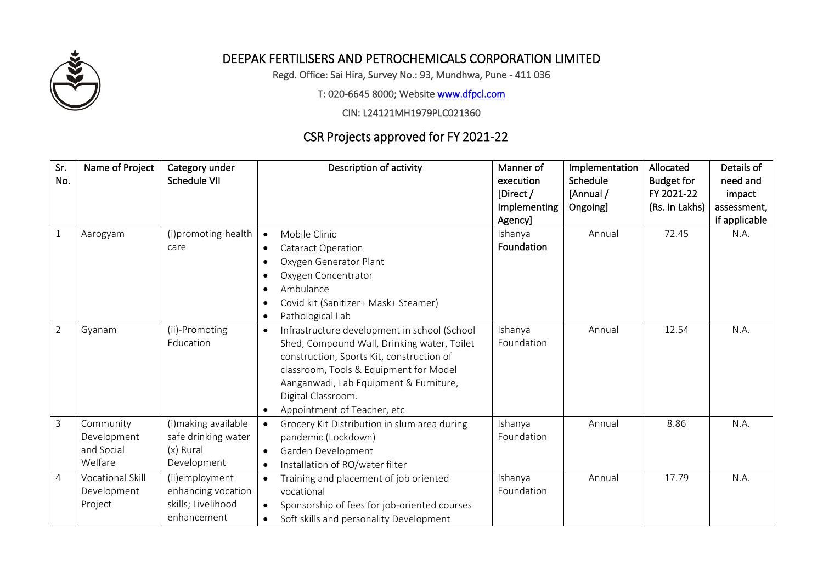

## DEEPAK FERTILISERS AND PETROCHEMICALS CORPORATION LIMITED

Regd. Office: Sai Hira, Survey No.: 93, Mundhwa, Pune - 411 036

T: 020-6645 8000; Website [www.dfpcl.com](http://www.dfpcl.com/)

CIN: L24121MH1979PLC021360

## CSR Projects approved for FY 2021-22

| Sr.<br>No.     | Name of Project                                   | Category under<br>Schedule VII                                            | Description of activity                                                                                                                                                                                                                                                                                     | Manner of<br>execution<br>[Direct /<br>Implementing<br>Agency] | Implementation<br>Schedule<br>[Annual /<br>Ongoing] | Allocated<br><b>Budget for</b><br>FY 2021-22<br>(Rs. In Lakhs) | Details of<br>need and<br>impact<br>assessment,<br>if applicable |
|----------------|---------------------------------------------------|---------------------------------------------------------------------------|-------------------------------------------------------------------------------------------------------------------------------------------------------------------------------------------------------------------------------------------------------------------------------------------------------------|----------------------------------------------------------------|-----------------------------------------------------|----------------------------------------------------------------|------------------------------------------------------------------|
| $\mathbf{1}$   | Aarogyam                                          | (i)promoting health<br>care                                               | Mobile Clinic<br>$\bullet$<br><b>Cataract Operation</b><br>$\bullet$<br>Oxygen Generator Plant<br>Oxygen Concentrator<br>$\bullet$<br>Ambulance<br>Covid kit (Sanitizer+ Mask+ Steamer)<br>Pathological Lab<br>$\bullet$                                                                                    | Ishanya<br>Foundation                                          | Annual                                              | 72.45                                                          | N.A.                                                             |
| $\overline{2}$ | Gyanam                                            | (ii)-Promoting<br>Education                                               | Infrastructure development in school (School<br>$\bullet$<br>Shed, Compound Wall, Drinking water, Toilet<br>construction, Sports Kit, construction of<br>classroom, Tools & Equipment for Model<br>Aanganwadi, Lab Equipment & Furniture,<br>Digital Classroom.<br>Appointment of Teacher, etc<br>$\bullet$ | Ishanya<br>Foundation                                          | Annual                                              | 12.54                                                          | N.A.                                                             |
| 3              | Community<br>Development<br>and Social<br>Welfare | (i)making available<br>safe drinking water<br>(x) Rural<br>Development    | Grocery Kit Distribution in slum area during<br>$\bullet$<br>pandemic (Lockdown)<br>Garden Development<br>$\bullet$<br>Installation of RO/water filter<br>$\bullet$                                                                                                                                         | Ishanya<br>Foundation                                          | Annual                                              | 8.86                                                           | N.A.                                                             |
| 4              | Vocational Skill<br>Development<br>Project        | (ii)employment<br>enhancing vocation<br>skills; Livelihood<br>enhancement | Training and placement of job oriented<br>$\bullet$<br>vocational<br>Sponsorship of fees for job-oriented courses<br>$\bullet$<br>Soft skills and personality Development<br>$\bullet$                                                                                                                      | Ishanya<br>Foundation                                          | Annual                                              | 17.79                                                          | N.A.                                                             |